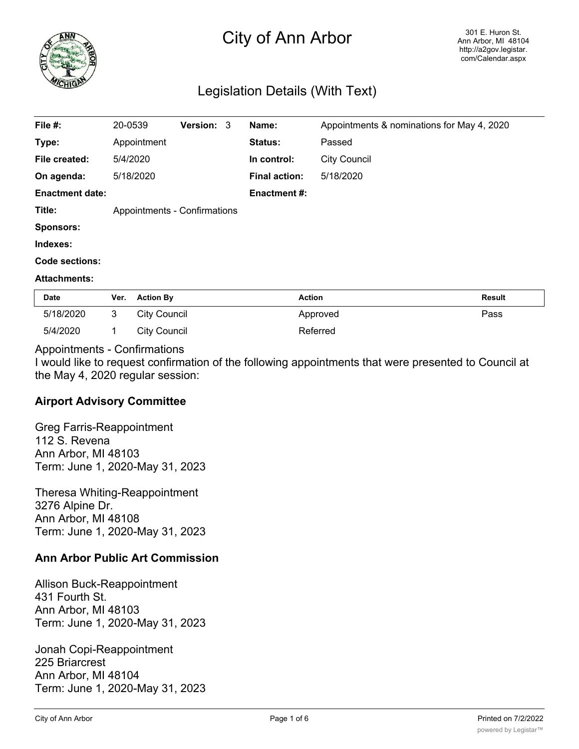

# City of Ann Arbor

# Legislation Details (With Text)

| File #:                | 20-0539 |                     | Version: 3                   | Name:                | Appointments & nominations for May 4, 2020 |  |
|------------------------|---------|---------------------|------------------------------|----------------------|--------------------------------------------|--|
| Type:                  |         | Appointment         |                              | <b>Status:</b>       | Passed                                     |  |
| File created:          |         | 5/4/2020            |                              | In control:          | <b>City Council</b>                        |  |
| On agenda:             |         | 5/18/2020           |                              | <b>Final action:</b> | 5/18/2020                                  |  |
| <b>Enactment date:</b> |         |                     |                              | <b>Enactment #:</b>  |                                            |  |
| Title:                 |         |                     | Appointments - Confirmations |                      |                                            |  |
| <b>Sponsors:</b>       |         |                     |                              |                      |                                            |  |
| Indexes:               |         |                     |                              |                      |                                            |  |
| <b>Code sections:</b>  |         |                     |                              |                      |                                            |  |
| <b>Attachments:</b>    |         |                     |                              |                      |                                            |  |
| Date                   | Ver.    | <b>Action By</b>    |                              | <b>Action</b>        | <b>Result</b>                              |  |
| 5/18/2020              | 3       | <b>City Council</b> |                              |                      | Pass<br>Approved                           |  |

#### Appointments - Confirmations

5/4/2020 1 City Council Referred

I would like to request confirmation of the following appointments that were presented to Council at the May 4, 2020 regular session:

## **Airport Advisory Committee**

Greg Farris-Reappointment 112 S. Revena Ann Arbor, MI 48103 Term: June 1, 2020-May 31, 2023

Theresa Whiting-Reappointment 3276 Alpine Dr. Ann Arbor, MI 48108 Term: June 1, 2020-May 31, 2023

## **Ann Arbor Public Art Commission**

Allison Buck-Reappointment 431 Fourth St. Ann Arbor, MI 48103 Term: June 1, 2020-May 31, 2023

Jonah Copi-Reappointment 225 Briarcrest Ann Arbor, MI 48104 Term: June 1, 2020-May 31, 2023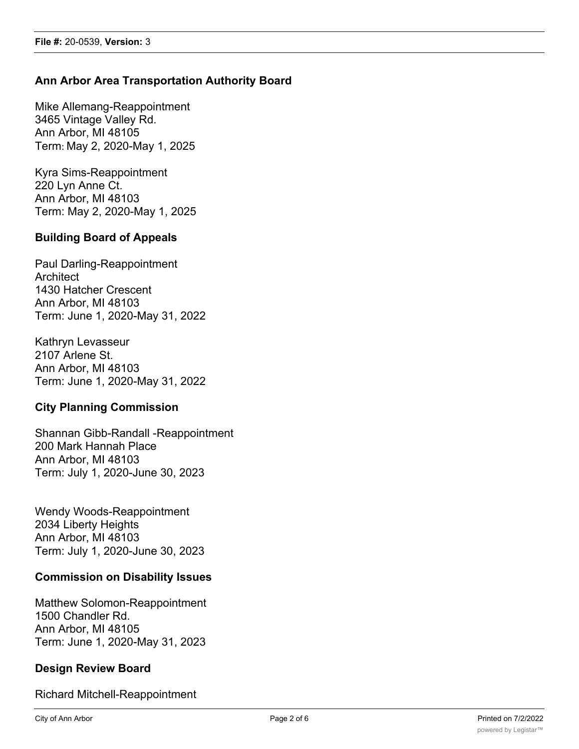# **Ann Arbor Area Transportation Authority Board**

Mike Allemang-Reappointment 3465 Vintage Valley Rd. Ann Arbor, MI 48105 Term: May 2, 2020-May 1, 2025

Kyra Sims-Reappointment 220 Lyn Anne Ct. Ann Arbor, MI 48103 Term: May 2, 2020-May 1, 2025

# **Building Board of Appeals**

Paul Darling-Reappointment **Architect** 1430 Hatcher Crescent Ann Arbor, MI 48103 Term: June 1, 2020-May 31, 2022

Kathryn Levasseur 2107 Arlene St. Ann Arbor, MI 48103 Term: June 1, 2020-May 31, 2022

## **City Planning Commission**

Shannan Gibb-Randall -Reappointment 200 Mark Hannah Place Ann Arbor, MI 48103 Term: July 1, 2020-June 30, 2023

Wendy Woods-Reappointment 2034 Liberty Heights Ann Arbor, MI 48103 Term: July 1, 2020-June 30, 2023

## **Commission on Disability Issues**

Matthew Solomon-Reappointment 1500 Chandler Rd. Ann Arbor, MI 48105 Term: June 1, 2020-May 31, 2023

#### **Design Review Board**

Richard Mitchell-Reappointment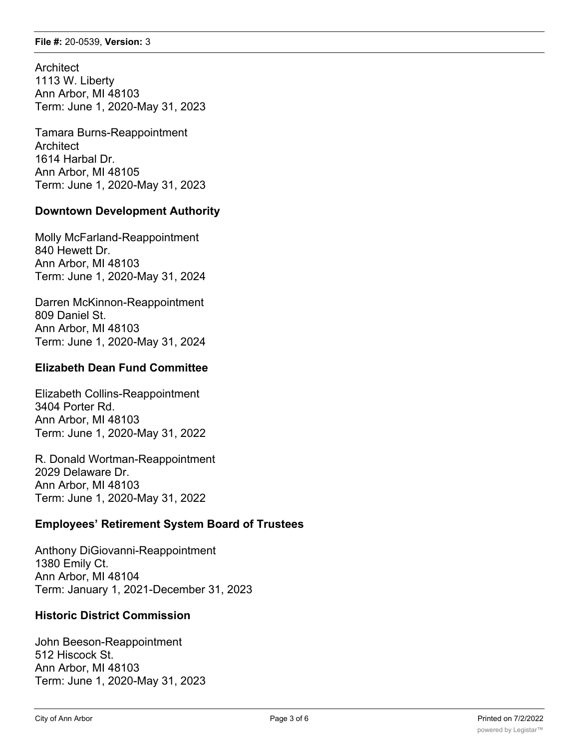**Architect** 1113 W. Liberty Ann Arbor, MI 48103 Term: June 1, 2020-May 31, 2023

Tamara Burns-Reappointment **Architect** 1614 Harbal Dr. Ann Arbor, MI 48105 Term: June 1, 2020-May 31, 2023

# **Downtown Development Authority**

Molly McFarland-Reappointment 840 Hewett Dr. Ann Arbor, MI 48103 Term: June 1, 2020-May 31, 2024

Darren McKinnon-Reappointment 809 Daniel St. Ann Arbor, MI 48103 Term: June 1, 2020-May 31, 2024

## **Elizabeth Dean Fund Committee**

Elizabeth Collins-Reappointment 3404 Porter Rd. Ann Arbor, MI 48103 Term: June 1, 2020-May 31, 2022

R. Donald Wortman-Reappointment 2029 Delaware Dr. Ann Arbor, MI 48103 Term: June 1, 2020-May 31, 2022

## **Employees' Retirement System Board of Trustees**

Anthony DiGiovanni-Reappointment 1380 Emily Ct. Ann Arbor, MI 48104 Term: January 1, 2021-December 31, 2023

## **Historic District Commission**

John Beeson-Reappointment 512 Hiscock St. Ann Arbor, MI 48103 Term: June 1, 2020-May 31, 2023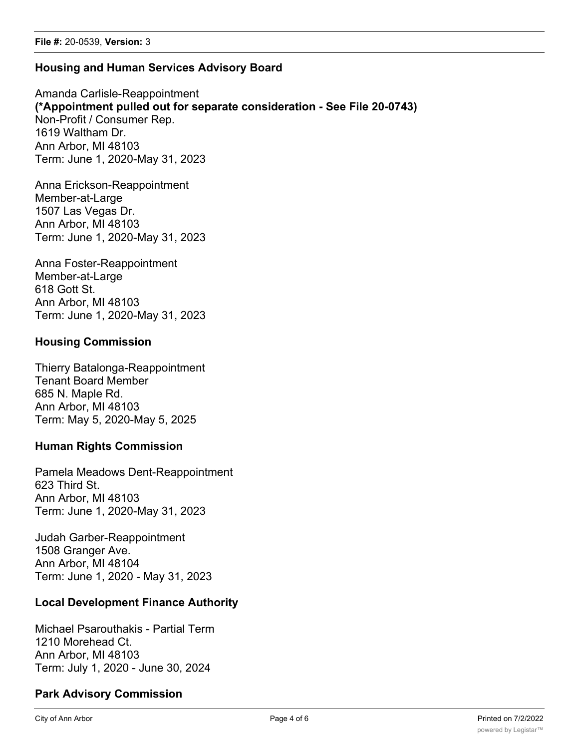#### **Housing and Human Services Advisory Board**

Amanda Carlisle-Reappointment **(\*Appointment pulled out for separate consideration - See File 20-0743)** Non-Profit / Consumer Rep. 1619 Waltham Dr. Ann Arbor, MI 48103 Term: June 1, 2020-May 31, 2023

Anna Erickson-Reappointment Member-at-Large 1507 Las Vegas Dr. Ann Arbor, MI 48103 Term: June 1, 2020-May 31, 2023

Anna Foster-Reappointment Member-at-Large 618 Gott St. Ann Arbor, MI 48103 Term: June 1, 2020-May 31, 2023

#### **Housing Commission**

Thierry Batalonga-Reappointment Tenant Board Member 685 N. Maple Rd. Ann Arbor, MI 48103 Term: May 5, 2020-May 5, 2025

#### **Human Rights Commission**

Pamela Meadows Dent-Reappointment 623 Third St. Ann Arbor, MI 48103 Term: June 1, 2020-May 31, 2023

Judah Garber-Reappointment 1508 Granger Ave. Ann Arbor, MI 48104 Term: June 1, 2020 - May 31, 2023

#### **Local Development Finance Authority**

Michael Psarouthakis - Partial Term 1210 Morehead Ct. Ann Arbor, MI 48103 Term: July 1, 2020 - June 30, 2024

## **Park Advisory Commission**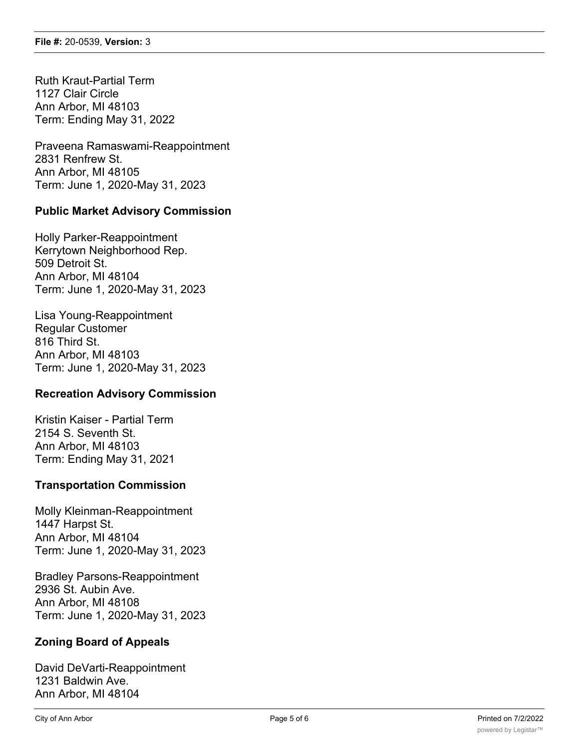Ruth Kraut-Partial Term 1127 Clair Circle Ann Arbor, MI 48103 Term: Ending May 31, 2022

Praveena Ramaswami-Reappointment 2831 Renfrew St. Ann Arbor, MI 48105 Term: June 1, 2020-May 31, 2023

## **Public Market Advisory Commission**

Holly Parker-Reappointment Kerrytown Neighborhood Rep. 509 Detroit St. Ann Arbor, MI 48104 Term: June 1, 2020-May 31, 2023

Lisa Young-Reappointment Regular Customer 816 Third St. Ann Arbor, MI 48103 Term: June 1, 2020-May 31, 2023

## **Recreation Advisory Commission**

Kristin Kaiser - Partial Term 2154 S. Seventh St. Ann Arbor, MI 48103 Term: Ending May 31, 2021

## **Transportation Commission**

Molly Kleinman-Reappointment 1447 Harpst St. Ann Arbor, MI 48104 Term: June 1, 2020-May 31, 2023

Bradley Parsons-Reappointment 2936 St. Aubin Ave. Ann Arbor, MI 48108 Term: June 1, 2020-May 31, 2023

## **Zoning Board of Appeals**

David DeVarti-Reappointment 1231 Baldwin Ave. Ann Arbor, MI 48104